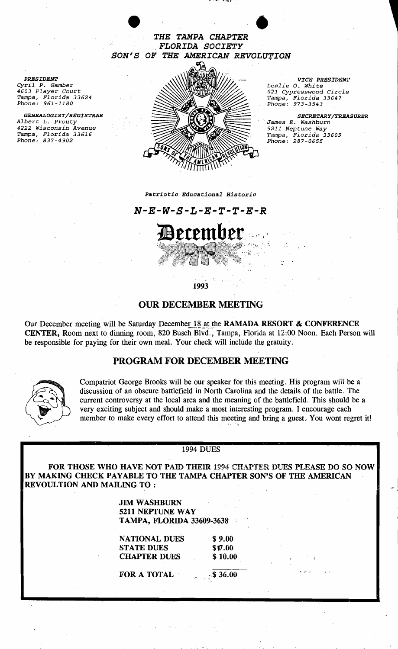*THE TAMPA CHAPTER* • *FLORIDA SOCIETY SON'S OF THE AMERICAN REVOLU'fION* 

*PRESIDENT Cyril* P. *Gamber 4603 Player* court *Tampa, Florida 33624 Phone: 961-1180* 

*GENEALOGIST/REGISTRAR Albert* L. *Prouty 4222 Wisconsin Avenue Tampa, Florida 33616 Phone: 837-4902* 



*VICE PRESIDEN'J' Leslie 0., Whi* te *621 CypresBwood Circle Tampa, Florida 33647* 

Phone: 973-3543 *SECRETARY/TREASURER James E. Washburn 5211 Neptune Way Tampa, Florida 33609 Phone: 287-0655* 

#### *Patriotic Educational Historic*

*N-E-W-S-L-E-T-T-E-R* 



1993

## OUR DECEMBER MEETING

Our December meeting will be Saturday December 18 at the RAMADA RESORT & CONFERENCE CENTER, Room next to dinning room, 820 Busch Blvd., Tampa, Florida at 12.:00 Noon. Each Person will be responsible for paying for their own meal. Your check will include the gratuity.

### PROGRAM FOR DECEMBER MEETING



Compatriot George Brooks will be our speaker for this meeting. His program will be a discussion of an obscure battlefield in North Carolina and the details of the battle. The current controversy at the local area and the meaning of the battlefield. This should be a very exciting subject and should make a most interesting program. I encourage each member to make every effort to attend this meeting and bring a guest.. You wont regret it!

#### 1994 DUES

FOR THOSE WHO HAVE NOT PAID THEIR 1994 CHAPTER DUES PLEASE DO SO NOW BY MAKING CHECK PAYABLE TO THE TAMPA CHAPTER SON'S OF THE AMERICAN REVOULTION AND MAILING TO :

> JIM WASHBURN 5211 NEPTUNE WAY TAMPA, FLORIDA 33609-3638

NATIONAL DUES \$9.00 STATE DUES \$17.00 CHAPTER DUES \$10.00

FOR A TOTAL  $$36.00$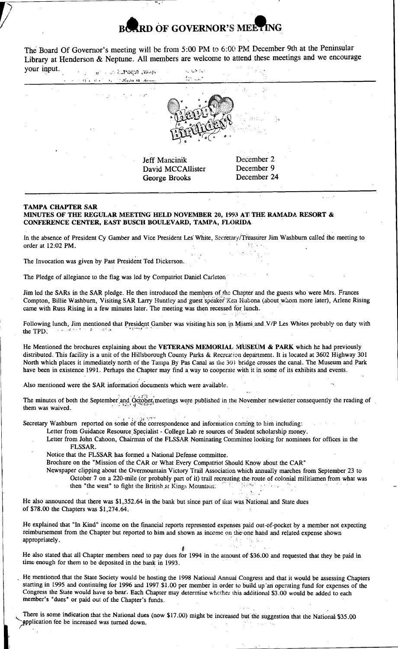# **D** OF GOVERNOR'S MELT

The Board Of Governor's meeting will be from 5:00 PM to 6:00 PM December 9th at the Peninsular Library at Henderson & Neptune. All members are welcome to attend these meetings and we encourage

 $\mathcal{C}_\mathbf{a}$  ,  $\mathcal{C}_\mathbf{a}$ 

| your input. | support aported the stage<br>$\label{eq:reduced} \alpha = \alpha + \alpha \, \text{if} \, \alpha \, \text{for} \, \beta = \alpha + \beta \, \text{if} \, \text{if} \, \text{if} \, \text{in} \, \text{if} \, \text{if} \, \text{in} \, \text{in} \, \text{in} \, \text{in} \, \text{in}$ | $\sim 3.0$ and<br>ang sa pang                       |                                                                             |                                |
|-------------|------------------------------------------------------------------------------------------------------------------------------------------------------------------------------------------------------------------------------------------------------------------------------------------|-----------------------------------------------------|-----------------------------------------------------------------------------|--------------------------------|
| ÷           | $\mathcal{F}^{\mathcal{A}}_{\mathcal{A}}$ , $\mathcal{F}^{\mathcal{A}}_{\mathcal{A}}$ , and $\mathcal{F}^{\mathcal{A}}_{\mathcal{A}}$ , and $\mathcal{F}^{\mathcal{A}}_{\mathcal{A}}$                                                                                                    |                                                     |                                                                             |                                |
|             |                                                                                                                                                                                                                                                                                          | Jeff Mancinik<br>David MCCAllister<br>George Brooks | $\lambda = 1, \ldots, N_{\rm L}$<br>December 2<br>December 9<br>December 24 |                                |
|             |                                                                                                                                                                                                                                                                                          |                                                     |                                                                             | $k \rightarrow \infty$ , $k^2$ |

#### TAMPA CHAPTER SAR

MINUTES OF THE REGULAR MEETING HELD NOVEMBER 20. 1993 AT THE RAMADA RESORT & CONFERENCE CENTER, 'EAST BUSCH BOULEVARD, TAMPA, FLORIDA

In the absence of President Cy Gamber and Vice President Les' White, Secretary/Treasurer Jim Washburn called the meeting to order at 12:02 PM order at 12:02 PM.

The Invocation was given by Past President Ted Dickerson.

The Pledge of allegiance to the flag was led by Compatriot Daniel Carleton'

Jim led the SARs in the SAR pledge. He then introduced the members of the Chapter and the guests who were Mrs. Frances I had the STRIS in the STR proget the their influences are included as the Supplements are goods who were there in a reacce. came with Russ Rising in a few minutes later. The meeting was then recessed for lunch.

Following lunch, Jim mentioned that President Gamber was visiting his son in Miami and V/P Les Whites probably on duty with the TPD.

He Mentioned the brochures explaining about the VETERANS MEMORIAL MUSEUM & PARK which he had previously distributed. This facility is a unit of the Hillsborough County Parks & Recreation department. It is located at 3602 Highway 301 North which places it immediately north of the Tampa By Pas Canal as the 30) bridge crosses the canal. The Museum and Park have been in existence 1991. Perhaps the Chapter may find a way to cooperate with it in some of its exhibits and events. distributed. I his facility is a unit of the Hillsborough County Parks & Recreation department. It is located at 3602 Highway 301<br>North which places it immediately north of the Tampa By Pas Canal as the 301 bridge crosses res explaining about the VETE<br>
i a unit of the Hillsborough Co<br>
nediately north of the Tampa B<br>
91. Perhaps the Chapter may fi<br>
SAR information documents we<br>
eptember and October, meeting<br>
eptember and October, meeting<br>
rt **EXIAL MUSEUM & PARK**<br>
decreation department. It is lot<br>
the 301 bridge crosses the car<br>
operate with it in some of its<br>
able.<br>
d in the November newsletter<br>
mation coming to him includinces of Student scholarship mo

Also mentioned were the SAR information documents which were available.

Secretary Washburn reported on some of the correspondence and information coming to him including:

Letter from Guidance Resource Specialist - College Lab re sources of Student scholarship money.

- Letter from John Cahoon, Chairman of the FLSSAR Nominating Committee looking for nominees for offices in the FLSSAR.
- Notice that the FLSSAR has formed a National Defense committee.

Brochure on the "Mission of the CAR or What Every Compatriot Should Know about the CAR"

Newspaper clipping about the Overmountain Victory Trail Association which annually marches from September 23 to October 7 on a 220-mile (or probably part of it) trail recreating the route of colonial militiamen from what was per clipping about the Overmountain Victory Trail Association which annually marches from Septembe<br>October 7 on a 220-mile (or probably part of it) trail recreating the route of colonial militiamen from<br>then "the west" to

He also announced that there was \$1,352.64 in the bank but since part of Ulat was National and State dues of \$78.00 the Chapters was \$1,274.64.

He explained that "In Kind" income on the financial reports represented expenses paid out-of-pocket by a member not expecting reimbursement from the Chapter but reported to him and shown as income on the one hand and related expense shown appropriately.

8 He also stated that all Chapter members need to pay dues for 1994 in the amount of:\$36:00 and requested that they be paid in time enough for them to be deposited in the bank in 1993.

He mentioned that the State Society would be hosting the 1998 National Annual Congress and that it would be assessing Chapters Slarting in 1995 and continuing for 1996 and 1997 \$1.00 per member in order to build up "an operating fund for expenses of the Congress the State would have to beat, Each Chapter may determine whether this additional \$3.00 would be added to each !hember's "dues" or paid out of the Chapter's funds.

There is some indication that the National dues (now \$17.00) might be increased but the suggestion that the National \$35.00 member's "dues" or paid out of the Chapter's funds.<br>There is some indication that the National dues (now \$17.00) might be increased but the supplication fee be increased was turned down.